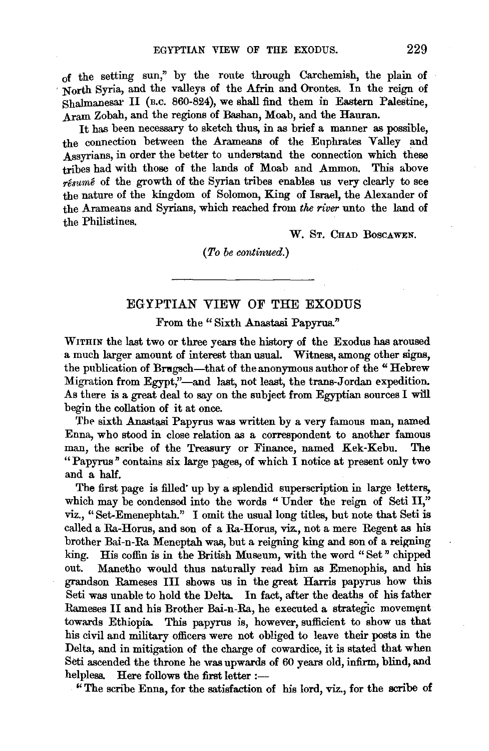of the setting sun," by the route through Carchemish, the plain of , North Syria, and the valleys of the Afrin and Orontes. In the reign of Shalmanesar II (B.c. 860-824), we shall find them in Eastern Palestine, Aram Zobah, and the regions of Bashan; Moab, and the Hauran.

It has been necessary to sketch thus, in as brief a manner as possible, the connection between the Arameans of the Euphrates Valley and Assyrians, in order the better to understand the connection which these tribes had with those of the lands of Moab and Ammon. This above *resume* of the growth of the Syrian tribes enables us very clearly to see the nature of the kingdom of Solomon, King of Israel, the Alexander of the Arameans and Syrians, which reached from *the river* unto the land of the Philistines.

W. St. CHAD BOSCAWEN.

*(To be continued.)* 

## EGYPTIAN VIEW OF THE EXODUS

From the "Sixth Anastasi Papyrus."

WITHIN the last two or three years the history of the Exodus has aroused a much larger amount of interest than usual. Witness, among other signs, the publication of Bragsch-that of the anonymous author of the "Hebrew Migration from Egypt,"-and last, not least, the trans-Jordan expedition. As there is a great deal to say on the subject from Egyptian sources I will begin the collation of it at once.

The sixth Anastasi Papyrus was written by a very famous man, named Enna, who stood in close relation as a correspondent to another famous man, the scribe of the Treasury or Finance, named Kek-Kebu. The "Papyrus" contains six large pages, of which I notice at present only two and a half.

The first page is filled" up by a splendid superscription in large letters, which may be condensed into the words "Under the reign of Seti II," viz., "Set-Emenephtah." I omit the usual long titles, but note that Seti is called a Ra-Horus, and son of a Ra-Horus, viz., not a mere Regent as his brother Bai-n-Ra Meneptah was, but a reigning king and son of a reigning king. His coffin is in the British Museum, with the word" Set" chipped out. Manetho would thus naturally read him as Emenophis, and his grandson Rameses III shows us in the great Harris papyrus how this Seti was unable to hold the Delta. In fact, after the deaths of his father Rameses II and his Brother Bai-n-Ra, he executed a strategic movement towards Ethiopia. This papyrus is, however, sufficient to show us that his civil and military officers were not obliged to leave their posts in the Delta, and in mitigation of the charge of cowardice, it is stated that when Seti ascended the throne he was upwards of 60 years old, infirm, blind, and helpless. Here follows the first letter :---

"The scribe Enna, for the satisfaction of his lord, viz., for the scribe of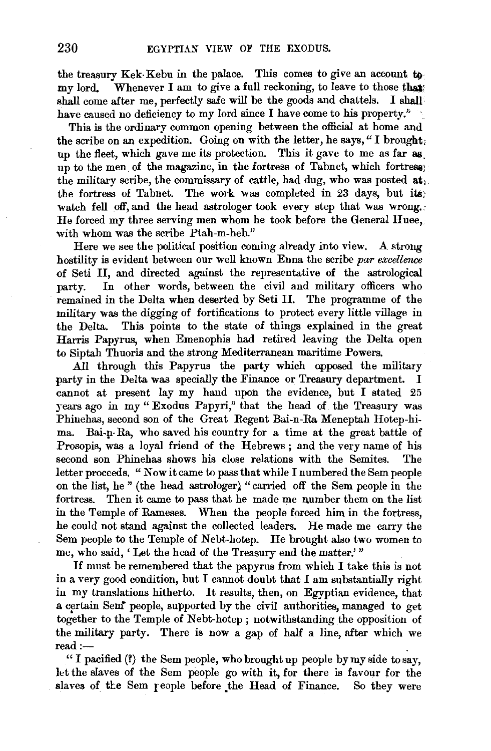the treasury Kek-Kebu in the palace. This comes to give an account to my lord. Whenever I am to give a full reckoning, to leave to those that: shall come after me, perfectly safe will be the goods and chattels. I shall have caused no deficiency to my lord since I have come to his property."

This is the ordinary common opening between the official at home and the scribe on an expedition. Going on with the letter, he says, "I brought; up the fleet, which gave me its protection. This it gave to me as far as. up to the men of the magazine, in the fortress of Tabnet, which fortress the military scribe, the commissary of cattle, had dug, who was posted  $a_{t}$ . the fortress of Tabnet. The work was completed in 23 days, but its; watch fell off, and the head astrologer took every step that was wrong. He forced my three serving men whom he took before the General Huee, with whom was the scribe Ptah-m-heb."

Here we see the political position coming already into view. A strong hostility is evident between our well known Enna the scribe *par excellence*  of Seti II, and directed against the representative of the astrological party. In other words, between the civil and military officers who remained in the Delta when deserted by Seti II. The programme of the military was the digging of fortifications to protect every little village in the Delta. This points to the state of things explained in the great Harris Papyrus, when Emenophis had retired leaving the Delta open to Siptah Thuoris and the strong Mediterranean maritime Powers.

All through this Papyrus the party which opposed the military party in the Delta was specially the Finance or Treasury department. I cannot at present lay my hand upon the evidence, but I stated 25 years ago in my" Exodus Papyri," that the head of the Treasury was Phinehas, second son of the Great Regent Bai-n-Ra Meneptah Hotep-hima. Bai-n-Ra, who saved his country for a time at the great battle of Prosopis, was a loyal friend of the Hebrews ; and the very name of his second son Phinehas shows his close relations with the Semites. The letter proceeds. " Now it came to pass that while I numbered the Sem people on the list, he " (the head astrologer) "carried off the Sem people in the fortress. Then it came to pass that he made me number them on the list in the Temple of Rameses. When the people forced him in the fortress, he could not stand against the collected leaders. He made me carry the Sem people to the Temple of Nebt-hotep. He brought also two women to me, who said, 'Let the head of the Treasury end the matter.'"

If must be remembered that the papyrus from which I take this is not in a very good condition, but I cannot doubt that I am substantially right in my translations hitherto. It results, then, on Egyptian evidence, that a certain Sem<sup>\*</sup> people, supported by the civil authorities, managed to get together to the Temple of Nebt-hotep; notwithstanding the opposition of  $\frac{1}{2}$  military party. There is now a gap of half a line after which we  $R$  and  $R$  . There is now a gap of man a rinc, and which we

" I pacified (?) the Sem people, who brought up people by my side to say, let the slaves of the Sem people go with it, for there is favour for the slaves of the Sem reople before the Head of Finance. So they were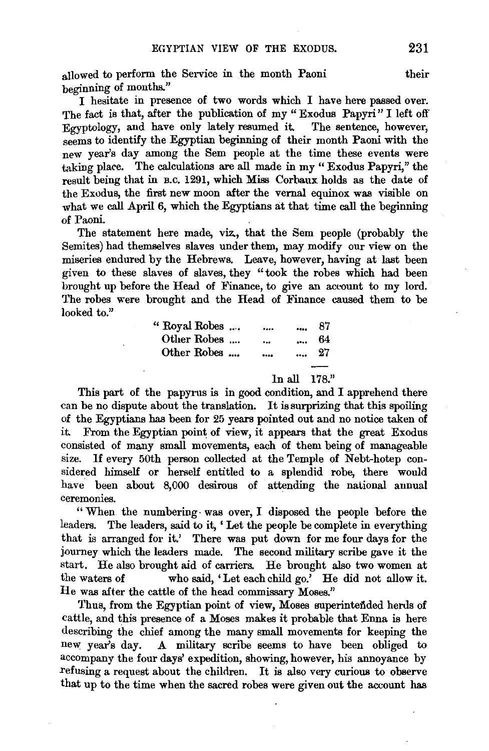allowed to perform the Service in the month Paoni their beginning of months."

I hesitate in presence of two words which I have here passed over. The fact is that, after the publication of my " Exodus Papyri" I left off  $\frac{1}{2}$  can be computed in the sentence of  $\frac{1}{2}$   $\frac{1}{2}$  and  $\frac{1}{2}$   $\frac{1}{2}$   $\frac{1}{2}$   $\frac{1}{2}$   $\frac{1}{2}$   $\frac{1}{2}$   $\frac{1}{2}$   $\frac{1}{2}$   $\frac{1}{2}$   $\frac{1}{2}$   $\frac{1}{2}$   $\frac{1}{2}$   $\frac{1}{2}$   $\frac{1}{2}$   $\frac{1}{2}$   $\$ seems to identify the Egyptian beginning of their month Paoni with the new year's day among the Sem people at the time these events were taking plare. The calculations are all made in my " Exodus Papyri," the result being that in B.c. 1291, which Miss Corbaux holds as the date of the Exodus, the first new moon after the vernal equinox was visible on what we call April 6, which the Egyptians at that time call the beginning of Paoni.

The statement here made, viz, that the Sem people (probably the Semites) had themselves slaves under them, may modify our view on the miseries endured by the Hebrews. Leave, however, having at last been given to these slaves of slaves, they "took the robes which had been brought up before the Head of Finance, to give an aceount to my lord. The robes were brought and the Head of Finance caused them to be looked to."

| " Royal Robes<br>Other Robes |                                  |                       | 87<br>64 |
|------------------------------|----------------------------------|-----------------------|----------|
| Other Robes                  | $\ddot{\phantom{a}}$<br>$\cdots$ | $\cdots$<br>$\ddotsc$ | - 27     |
|                              | In all                           |                       | 178."    |

This part of the papyrus is in good condition, and I apprehend there can be no dispute about the translation. It is surprizing that this spoiling of the Egyptians has been for 25 years pointed out and no notice taken of it From the Egyptian point of view, it appears that the great Exodus consisted of many small movements, each of them being of manageable size. If every 50th person collected at the Temple of Nebt-hotep considered himself or herself entitled to a splendid robe, there would have been about 8,000 desirous of attending the national annual ceremonies.

"When the numbering· was over, I disposed the people before the leaders. The leaders, said to it, 'Let the people be complete in everything that is arranged for it.' There was put down for me four days for the journey which the leaders made. The second military scribe gave it the start. He also brought aid of carriers. He brought also two women at the waters of who said, 'Let each child go.' He did not allow it. He was after the cattle of the head commissary Moses."

Thus, from the Egyptian point of view, Moses superintended herds of cattle, and this presence of a Moses makes it probable that Enna is here describing the chief among the many small movements for keeping the new year's day. A military scribe seems to have been obliged to accompany the four days' expedition, showing, however, his annoyance by refusing a request about the children. It is also very curious to observe that up to the time when the sacred robes were given out the account has